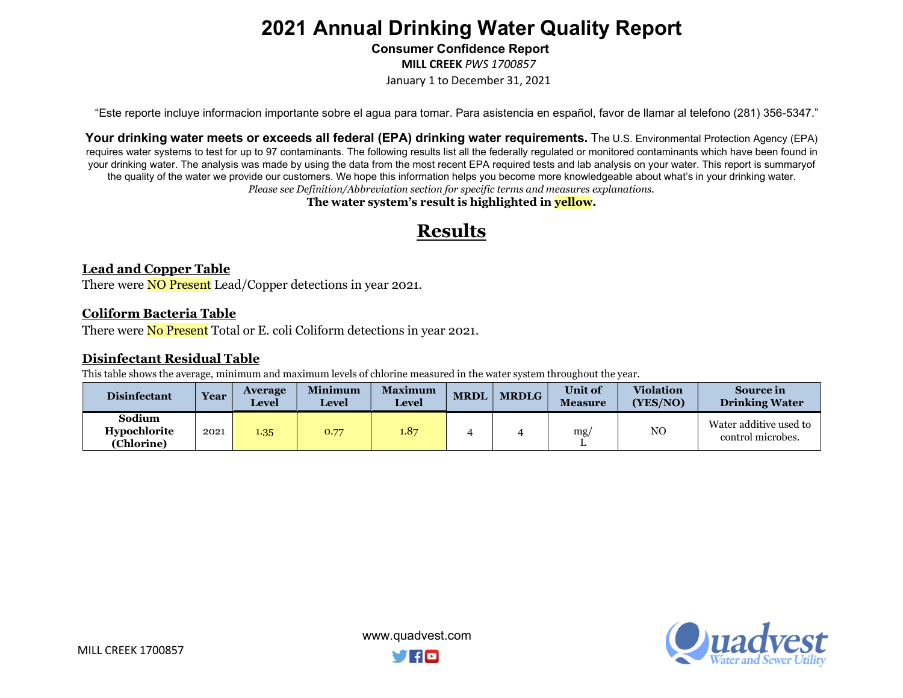Consumer Confidence Report

MILL CREEK PWS 1700857

January 1 to December 31, 2021

"Este reporte incluye informacion importante sobre el agua para tomar. Para asistencia en español, favor de llamar al telefono (281) 356-5347."

Your drinking water meets or exceeds all federal (EPA) drinking water requirements. The U.S. Environmental Protection Agency (EPA) requires water systems to test for up to 97 contaminants. The following results list all the federally regulated or monitored contaminants which have been found in your drinking water. The analysis was made by using the data from the most recent EPA required tests and lab analysis on your water. This report is summary of the quality of the water we provide our customers. We hope this information helps you become more knowledgeable about what's in your drinking water. Please see Definition/Abbreviation section for specific terms and measures explanations.

The water system's result is highlighted in **yellow**.

### Results

#### Lead and Copper Table

There were **NO Present** Lead/Copper detections in year 2021.

#### Coliform Bacteria Table

There were **No Present** Total or E. coli Coliform detections in year 2021.

#### Disinfectant Residual Table

This table shows the average, minimum and maximum levels of chlorine measured in the water system throughout the year.

| <b>Disinfectant</b>                         | <b>Year</b> | <b>Average</b><br><b>Level</b> | <b>Minimum</b><br>Level | <b>Maximum</b><br><b>Level</b> | <b>MRDI</b> | <b>MRDLG</b> | <b>Unit</b> of<br><b>Measure</b> | <b>Violation</b><br>(YES/NO) | Source in<br><b>Drinking Water</b>          |
|---------------------------------------------|-------------|--------------------------------|-------------------------|--------------------------------|-------------|--------------|----------------------------------|------------------------------|---------------------------------------------|
| Sodium<br><b>Hypochlorite</b><br>(Chlorine) | 2021        | 1.35                           | 0.77                    | 1.87                           |             |              | mg/                              | NO                           | Water additive used to<br>control microbes. |

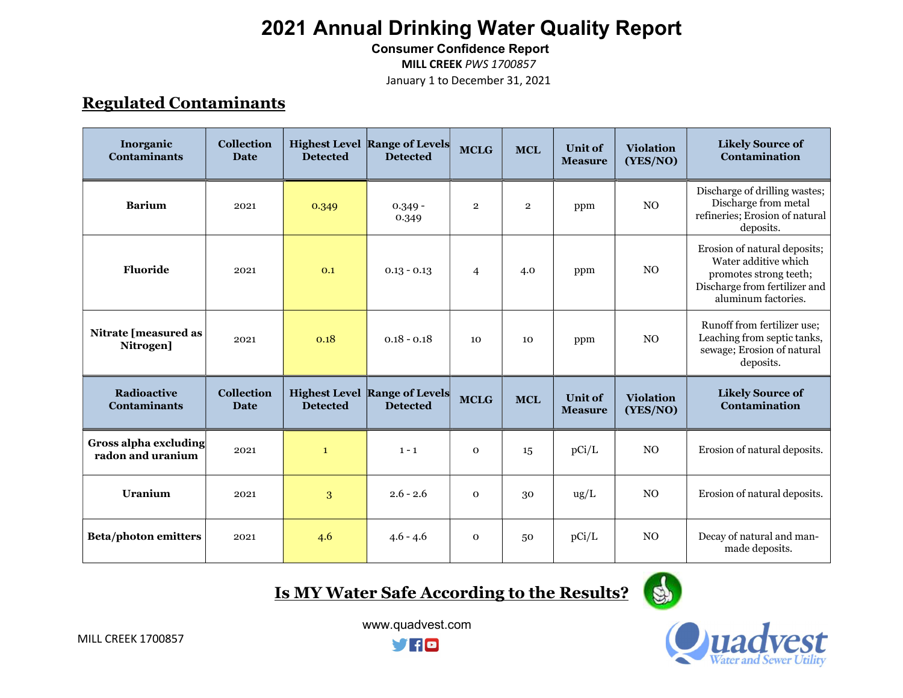Consumer Confidence Report

MILL CREEK PWS 1700857

January 1 to December 31, 2021

### Regulated Contaminants

| Inorganic<br><b>Contaminants</b>                  | <b>Collection</b><br><b>Date</b> | <b>Detected</b> | <b>Highest Level Range of Levels</b><br><b>Detected</b> | <b>MCLG</b>    | <b>MCL</b>     | <b>Unit of</b><br><b>Measure</b> | <b>Violation</b><br>(YES/NO) | <b>Likely Source of</b><br>Contamination                                                                                               |
|---------------------------------------------------|----------------------------------|-----------------|---------------------------------------------------------|----------------|----------------|----------------------------------|------------------------------|----------------------------------------------------------------------------------------------------------------------------------------|
| <b>Barium</b>                                     | 2021                             | 0.349           | $0.349 -$<br>0.349                                      | $\overline{2}$ | $\overline{2}$ | ppm                              | N <sub>O</sub>               | Discharge of drilling wastes;<br>Discharge from metal<br>refineries; Erosion of natural<br>deposits.                                   |
| Fluoride                                          | 2021                             | 0.1             | $0.13 - 0.13$                                           | $\overline{4}$ | 4.0            | ppm                              | N <sub>O</sub>               | Erosion of natural deposits;<br>Water additive which<br>promotes strong teeth;<br>Discharge from fertilizer and<br>aluminum factories. |
| <b>Nitrate [measured as</b><br>Nitrogen]          | 2021                             | 0.18            | $0.18 - 0.18$                                           | 10             | 10             | ppm                              | N <sub>O</sub>               | Runoff from fertilizer use;<br>Leaching from septic tanks,<br>sewage; Erosion of natural<br>deposits.                                  |
| <b>Radioactive</b><br><b>Contaminants</b>         | <b>Collection</b><br><b>Date</b> | <b>Detected</b> | <b>Highest Level Range of Levels</b><br><b>Detected</b> | <b>MCLG</b>    | <b>MCL</b>     | <b>Unit of</b><br><b>Measure</b> | <b>Violation</b><br>(YES/NO) | <b>Likely Source of</b><br>Contamination                                                                                               |
| <b>Gross alpha excluding</b><br>radon and uranium | 2021                             | $\mathbf{1}$    | $1 - 1$                                                 | $\mathbf 0$    | 15             | pCi/L                            | N <sub>O</sub>               | Erosion of natural deposits.                                                                                                           |
| <b>Uranium</b>                                    | 2021                             | 3               | $2.6 - 2.6$                                             | $\mathbf 0$    | 30             | $\text{ug/L}$                    | N <sub>O</sub>               | Erosion of natural deposits.                                                                                                           |
| <b>Beta/photon emitters</b>                       | 2021                             | 4.6             | $4.6 - 4.6$                                             | $\mathbf 0$    | 50             | pCi/L                            | N <sub>O</sub>               | Decay of natural and man-<br>made deposits.                                                                                            |

Is MY Water Safe According to the Results?





 www.quadvest.com **yno**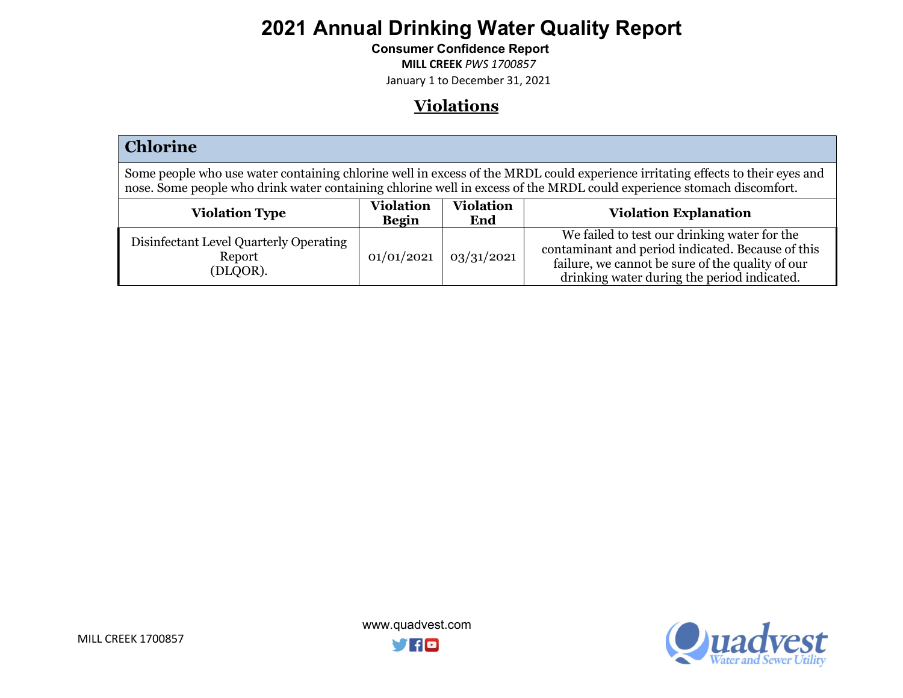Consumer Confidence Report

MILL CREEK PWS 1700857

January 1 to December 31, 2021

### **Violations**

| <b>Chlorine</b>                                                                                                                                                                                                                                         |                                  |                         |                                                                                                                                                                                                      |  |  |
|---------------------------------------------------------------------------------------------------------------------------------------------------------------------------------------------------------------------------------------------------------|----------------------------------|-------------------------|------------------------------------------------------------------------------------------------------------------------------------------------------------------------------------------------------|--|--|
| Some people who use water containing chlorine well in excess of the MRDL could experience irritating effects to their eyes and<br>nose. Some people who drink water containing chlorine well in excess of the MRDL could experience stomach discomfort. |                                  |                         |                                                                                                                                                                                                      |  |  |
| <b>Violation Type</b>                                                                                                                                                                                                                                   | <b>Violation</b><br><b>Begin</b> | <b>Violation</b><br>End | <b>Violation Explanation</b>                                                                                                                                                                         |  |  |
| Disinfectant Level Quarterly Operating<br>Report<br>(DLQOR).                                                                                                                                                                                            | 01/01/2021                       | 03/31/2021              | We failed to test our drinking water for the<br>contaminant and period indicated. Because of this<br>failure, we cannot be sure of the quality of our<br>drinking water during the period indicated. |  |  |

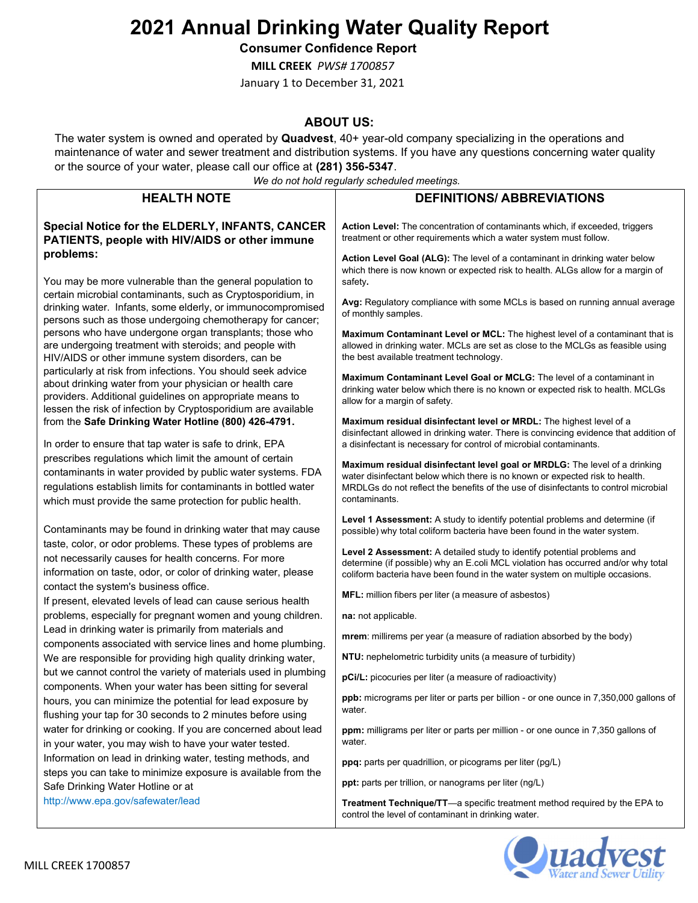Consumer Confidence Report

MILL CREEK PWS# 1700857

January 1 to December 31, 2021

#### ABOUT US:

The water system is owned and operated by Quadvest, 40+ year-old company specializing in the operations and maintenance of water and sewer treatment and distribution systems. If you have any questions concerning water quality or the source of your water, please call our office at (281) 356-5347.

We do not hold regularly scheduled meetings.

| <b>HEALTH NOTE</b>                                                                                                                                                                                                                                     | we ao not noid regularly scheduled meetings.<br><b>DEFINITIONS/ ABBREVIATIONS</b>                                                                                                                                                                                  |
|--------------------------------------------------------------------------------------------------------------------------------------------------------------------------------------------------------------------------------------------------------|--------------------------------------------------------------------------------------------------------------------------------------------------------------------------------------------------------------------------------------------------------------------|
|                                                                                                                                                                                                                                                        |                                                                                                                                                                                                                                                                    |
| Special Notice for the ELDERLY, INFANTS, CANCER<br>PATIENTS, people with HIV/AIDS or other immune                                                                                                                                                      | Action Level: The concentration of contaminants which, if exceeded, triggers<br>treatment or other requirements which a water system must follow.                                                                                                                  |
| problems:                                                                                                                                                                                                                                              | Action Level Goal (ALG): The level of a contaminant in drinking water below<br>which there is now known or expected risk to health. ALGs allow for a margin of                                                                                                     |
| You may be more vulnerable than the general population to<br>certain microbial contaminants, such as Cryptosporidium, in<br>drinking water. Infants, some elderly, or immunocompromised<br>persons such as those undergoing chemotherapy for cancer;   | safety.<br>Avg: Regulatory compliance with some MCLs is based on running annual average<br>of monthly samples.                                                                                                                                                     |
| persons who have undergone organ transplants; those who<br>are undergoing treatment with steroids; and people with<br>HIV/AIDS or other immune system disorders, can be                                                                                | <b>Maximum Contaminant Level or MCL:</b> The highest level of a contaminant that is<br>allowed in drinking water. MCLs are set as close to the MCLGs as feasible using<br>the best available treatment technology.                                                 |
| particularly at risk from infections. You should seek advice<br>about drinking water from your physician or health care<br>providers. Additional guidelines on appropriate means to                                                                    | <b>Maximum Contaminant Level Goal or MCLG:</b> The level of a contaminant in<br>drinking water below which there is no known or expected risk to health. MCLGs<br>allow for a margin of safety.                                                                    |
| lessen the risk of infection by Cryptosporidium are available<br>from the Safe Drinking Water Hotline (800) 426-4791.<br>In order to ensure that tap water is safe to drink, EPA                                                                       | Maximum residual disinfectant level or MRDL: The highest level of a<br>disinfectant allowed in drinking water. There is convincing evidence that addition of<br>a disinfectant is necessary for control of microbial contaminants.                                 |
| prescribes regulations which limit the amount of certain<br>contaminants in water provided by public water systems. FDA<br>regulations establish limits for contaminants in bottled water<br>which must provide the same protection for public health. | Maximum residual disinfectant level goal or MRDLG: The level of a drinking<br>water disinfectant below which there is no known or expected risk to health.<br>MRDLGs do not reflect the benefits of the use of disinfectants to control microbial<br>contaminants. |
| Contaminants may be found in drinking water that may cause                                                                                                                                                                                             | Level 1 Assessment: A study to identify potential problems and determine (if<br>possible) why total coliform bacteria have been found in the water system.                                                                                                         |
| taste, color, or odor problems. These types of problems are<br>not necessarily causes for health concerns. For more<br>information on taste, odor, or color of drinking water, please                                                                  | Level 2 Assessment: A detailed study to identify potential problems and<br>determine (if possible) why an E.coli MCL violation has occurred and/or why total<br>coliform bacteria have been found in the water system on multiple occasions.                       |
| contact the system's business office.<br>If present, elevated levels of lead can cause serious health                                                                                                                                                  | MFL: million fibers per liter (a measure of asbestos)                                                                                                                                                                                                              |
| problems, especially for pregnant women and young children.                                                                                                                                                                                            | na: not applicable.                                                                                                                                                                                                                                                |
| Lead in drinking water is primarily from materials and<br>components associated with service lines and home plumbing.                                                                                                                                  | mrem: millirems per year (a measure of radiation absorbed by the body)                                                                                                                                                                                             |
| We are responsible for providing high quality drinking water,                                                                                                                                                                                          | NTU: nephelometric turbidity units (a measure of turbidity)                                                                                                                                                                                                        |
| but we cannot control the variety of materials used in plumbing<br>components. When your water has been sitting for several                                                                                                                            | pCi/L: picocuries per liter (a measure of radioactivity)                                                                                                                                                                                                           |
| hours, you can minimize the potential for lead exposure by<br>flushing your tap for 30 seconds to 2 minutes before using                                                                                                                               | ppb: micrograms per liter or parts per billion - or one ounce in 7,350,000 gallons of<br>water.                                                                                                                                                                    |
| water for drinking or cooking. If you are concerned about lead<br>in your water, you may wish to have your water tested.                                                                                                                               | ppm: milligrams per liter or parts per million - or one ounce in 7,350 gallons of<br>water.                                                                                                                                                                        |
| Information on lead in drinking water, testing methods, and                                                                                                                                                                                            | ppq: parts per quadrillion, or picograms per liter (pg/L)                                                                                                                                                                                                          |
| steps you can take to minimize exposure is available from the<br>Safe Drinking Water Hotline or at                                                                                                                                                     | ppt: parts per trillion, or nanograms per liter (ng/L)                                                                                                                                                                                                             |
| http://www.epa.gov/safewater/lead                                                                                                                                                                                                                      | Treatment Technique/TT-a specific treatment method required by the EPA to<br>control the level of contaminant in drinking water.                                                                                                                                   |

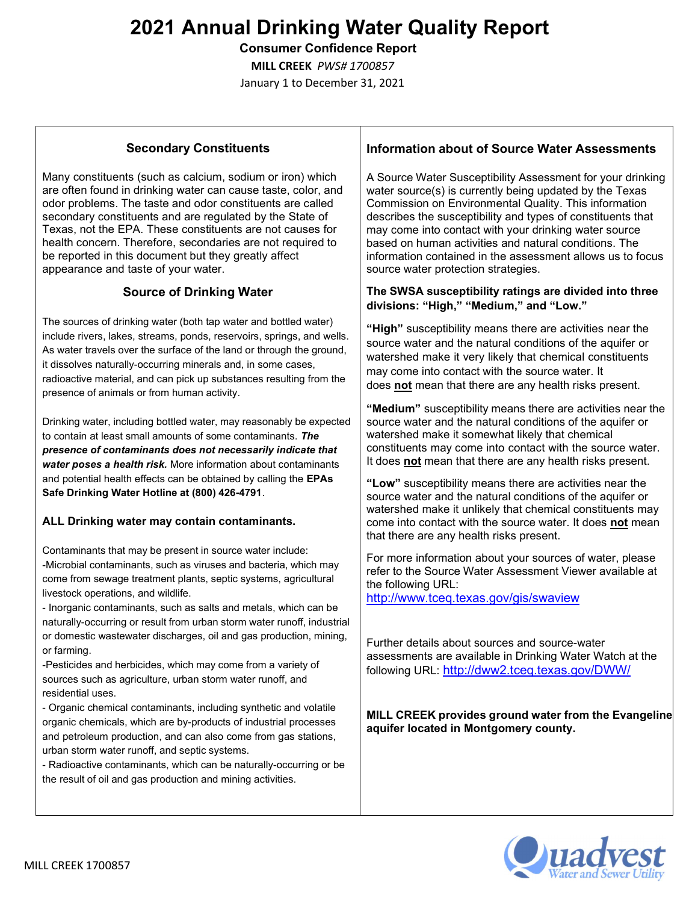Consumer Confidence Report

MILL CREEK PWS# 1700857

January 1 to December 31, 2021

#### Secondary Constituents

Many constituents (such as calcium, sodium or iron) which are often found in drinking water can cause taste, color, and odor problems. The taste and odor constituents are called secondary constituents and are regulated by the State of Texas, not the EPA. These constituents are not causes for health concern. Therefore, secondaries are not required to be reported in this document but they greatly affect appearance and taste of your water.

#### Source of Drinking Water

The sources of drinking water (both tap water and bottled water) include rivers, lakes, streams, ponds, reservoirs, springs, and wells. As water travels over the surface of the land or through the ground, it dissolves naturally-occurring minerals and, in some cases, radioactive material, and can pick up substances resulting from the presence of animals or from human activity.

Drinking water, including bottled water, may reasonably be expected to contain at least small amounts of some contaminants. The presence of contaminants does not necessarily indicate that water poses a health risk. More information about contaminants and potential health effects can be obtained by calling the EPAs Safe Drinking Water Hotline at (800) 426-4791.

#### ALL Drinking water may contain contaminants.

Contaminants that may be present in source water include: -Microbial contaminants, such as viruses and bacteria, which may come from sewage treatment plants, septic systems, agricultural livestock operations, and wildlife.

- Inorganic contaminants, such as salts and metals, which can be naturally-occurring or result from urban storm water runoff, industrial or domestic wastewater discharges, oil and gas production, mining, or farming.

-Pesticides and herbicides, which may come from a variety of sources such as agriculture, urban storm water runoff, and residential uses.

- Organic chemical contaminants, including synthetic and volatile organic chemicals, which are by-products of industrial processes and petroleum production, and can also come from gas stations, urban storm water runoff, and septic systems.

- Radioactive contaminants, which can be naturally-occurring or be the result of oil and gas production and mining activities.

#### Information about of Source Water Assessments

A Source Water Susceptibility Assessment for your drinking water source(s) is currently being updated by the Texas Commission on Environmental Quality. This information describes the susceptibility and types of constituents that may come into contact with your drinking water source based on human activities and natural conditions. The information contained in the assessment allows us to focus source water protection strategies.

#### The SWSA susceptibility ratings are divided into three divisions: "High," "Medium," and "Low."

"High" susceptibility means there are activities near the source water and the natural conditions of the aquifer or watershed make it very likely that chemical constituents may come into contact with the source water. It does not mean that there are any health risks present.

"Medium" susceptibility means there are activities near the source water and the natural conditions of the aquifer or watershed make it somewhat likely that chemical constituents may come into contact with the source water. It does not mean that there are any health risks present.

"Low" susceptibility means there are activities near the source water and the natural conditions of the aquifer or watershed make it unlikely that chemical constituents may come into contact with the source water. It does not mean that there are any health risks present.

For more information about your sources of water, please refer to the Source Water Assessment Viewer available at the following URL:

http://www.tceq.texas.gov/gis/swaview

Further details about sources and source-water assessments are available in Drinking Water Watch at the following URL: http://dww2.tceq.texas.gov/DWW/

#### MILL CREEK provides ground water from the Evangeline aquifer located in Montgomery county.